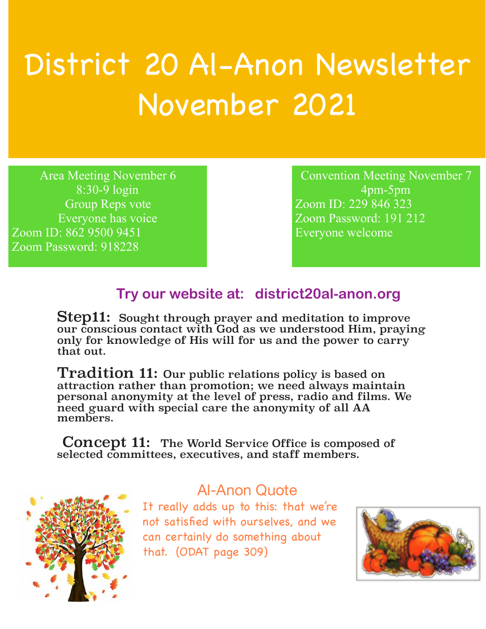## District 20 Al-Anon Newsletter November 2021

Area Meeting November 6 8:30-9 login Group Reps vote Everyone has voice Zoom ID: 862 9500 9451 Zoom Password: 918228

Convention Meeting November 7 4pm-5pm Zoom ID: 229 846 323 Zoom Password: 191 212 Everyone welcome

## **Try our website at: district20al-anon.org**

Step11: Sought through prayer and meditation to improve our conscious contact with God as we understood Him, praying only for knowledge of His will for us and the power to carry that out.

Tradition 11: Our public relations policy is based on attraction rather than promotion; we need always maintain personal anonymity at the level of press, radio and films. We need guard with special care the anonymity of all AA members.

Concept 11: The World Service Office is composed of selected committees, executives, and staff members.



## Al-Anon Quote

It really adds up to this: that we're not satisfied with ourselves, and we can certainly do something about that. (ODAT page 309)